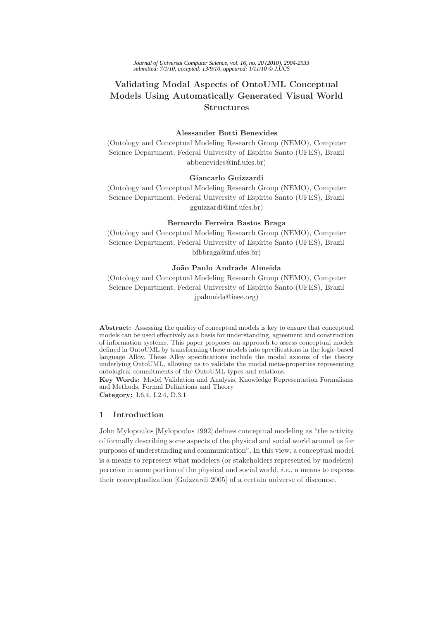# **Validating Modal Aspects of OntoUML Conceptual Models Using Automatically Generated Visual World Structures**

# **Alessander Botti Benevides**

(Ontology and Conceptual Modeling Research Group (NEMO), Computer Science Department, Federal University of Espírito Santo (UFES), Brazil abbenevides@inf.ufes.br)

## **Giancarlo Guizzardi**

(Ontology and Conceptual Modeling Research Group (NEMO), Computer Science Department, Federal University of Espírito Santo (UFES), Brazil gguizzardi@inf.ufes.br)

## **Bernardo Ferreira Bastos Braga**

(Ontology and Conceptual Modeling Research Group (NEMO), Computer Science Department, Federal University of Espírito Santo (UFES), Brazil bfbbraga@inf.ufes.br)

## **Jo˜ao Paulo Andrade Almeida**

(Ontology and Conceptual Modeling Research Group (NEMO), Computer Science Department, Federal University of Espírito Santo (UFES), Brazil jpalmeida@ieee.org)

**Abstract:** Assessing the quality of conceptual models is key to ensure that conceptual models can be used effectively as a basis for understanding, agreement and construction of information systems. This paper proposes an approach to assess conceptual models defined in OntoUML by transforming these models into specifications in the logic-based language Alloy. These Alloy specifications include the modal axioms of the theory underlying OntoUML, allowing us to validate the modal meta-properties representing ontological commitments of the OntoUML types and relations.

**Key Words:** Model Validation and Analysis, Knowledge Representation Formalisms and Methods, Formal Definitions and Theory **Category:** I.6.4, I.2.4, D.3.1

## **1 Introduction**

John Mylopoulos [Mylopoulos 1992] defines conceptual modeling as "the activity of formally describing some aspects of the physical and social world around us for purposes of understanding and communication". In this view, a conceptual model is a means to represent what modelers (or stakeholders represented by modelers) perceive in some portion of the physical and social world, *i.e.*, a means to express their conceptualization [Guizzardi 2005] of a certain universe of discourse.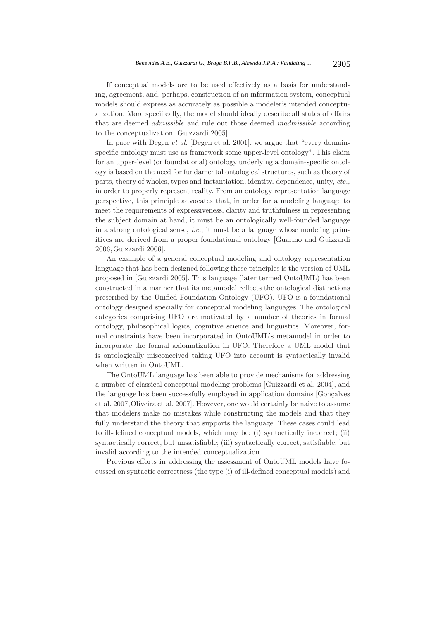If conceptual models are to be used effectively as a basis for understanding, agreement, and, perhaps, construction of an information system, conceptual models should express as accurately as possible a modeler's intended conceptualization. More specifically, the model should ideally describe all states of affairs that are deemed *admissible* and rule out those deemed *inadmissible* according to the conceptualization [Guizzardi 2005].

In pace with Degen *et al.* [Degen et al. 2001], we argue that "every domainspecific ontology must use as framework some upper-level ontology". This claim for an upper-level (or foundational) ontology underlying a domain-specific ontology is based on the need for fundamental ontological structures, such as theory of parts, theory of wholes, types and instantiation, identity, dependence, unity, *etc.*, in order to properly represent reality. From an ontology representation language perspective, this principle advocates that, in order for a modeling language to meet the requirements of expressiveness, clarity and truthfulness in representing the subject domain at hand, it must be an ontologically well-founded language in a strong ontological sense, *i.e.*, it must be a language whose modeling primitives are derived from a proper foundational ontology [Guarino and Guizzardi 2006, Guizzardi 2006].

An example of a general conceptual modeling and ontology representation language that has been designed following these principles is the version of UML proposed in [Guizzardi 2005]. This language (later termed OntoUML) has been constructed in a manner that its metamodel reflects the ontological distinctions prescribed by the Unified Foundation Ontology (UFO). UFO is a foundational ontology designed specially for conceptual modeling languages. The ontological categories comprising UFO are motivated by a number of theories in formal ontology, philosophical logics, cognitive science and linguistics. Moreover, formal constraints have been incorporated in OntoUML's metamodel in order to incorporate the formal axiomatization in UFO. Therefore a UML model that is ontologically misconceived taking UFO into account is syntactically invalid when written in OntoUML.

The OntoUML language has been able to provide mechanisms for addressing a number of classical conceptual modeling problems [Guizzardi et al. 2004], and the language has been successfully employed in application domains [Gonçalves] et al. 2007,Oliveira et al. 2007]. However, one would certainly be naive to assume that modelers make no mistakes while constructing the models and that they fully understand the theory that supports the language. These cases could lead to ill-defined conceptual models, which may be: (i) syntactically incorrect; (ii) syntactically correct, but unsatisfiable; (iii) syntactically correct, satisfiable, but invalid according to the intended conceptualization.

Previous efforts in addressing the assessment of OntoUML models have focussed on syntactic correctness (the type (i) of ill-defined conceptual models) and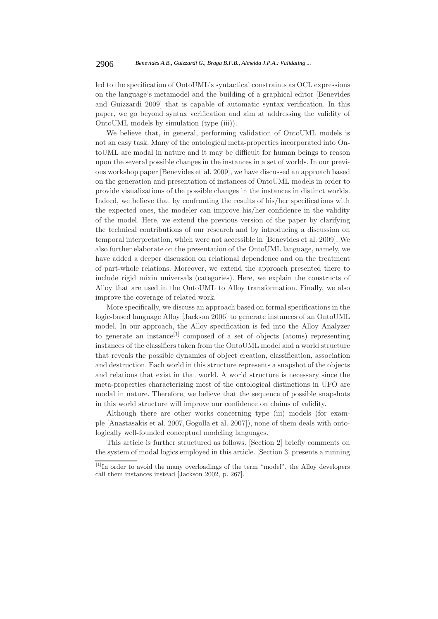led to the specification of OntoUML's syntactical constraints as OCL expressions on the language's metamodel and the building of a graphical editor [Benevides and Guizzardi 2009] that is capable of automatic syntax verification. In this paper, we go beyond syntax verification and aim at addressing the validity of OntoUML models by simulation (type (iii)).

We believe that, in general, performing validation of OntoUML models is not an easy task. Many of the ontological meta-properties incorporated into OntoUML are modal in nature and it may be difficult for human beings to reason upon the several possible changes in the instances in a set of worlds. In our previous workshop paper [Benevides et al. 2009], we have discussed an approach based on the generation and presentation of instances of OntoUML models in order to provide visualizations of the possible changes in the instances in distinct worlds. Indeed, we believe that by confronting the results of his/her specifications with the expected ones, the modeler can improve his/her confidence in the validity of the model. Here, we extend the previous version of the paper by clarifying the technical contributions of our research and by introducing a discussion on temporal interpretation, which were not accessible in [Benevides et al. 2009]. We also further elaborate on the presentation of the OntoUML language, namely, we have added a deeper discussion on relational dependence and on the treatment of part-whole relations. Moreover, we extend the approach presented there to include rigid mixin universals (categories). Here, we explain the constructs of Alloy that are used in the OntoUML to Alloy transformation. Finally, we also improve the coverage of related work.

More specifically, we discuss an approach based on formal specifications in the logic-based language Alloy [Jackson 2006] to generate instances of an OntoUML model. In our approach, the Alloy specification is fed into the Alloy Analyzer to generate an instance<sup>[1]</sup> composed of a set of objects (atoms) representing instances of the classifiers taken from the OntoUML model and a world structure that reveals the possible dynamics of object creation, classification, association and destruction. Each world in this structure represents a snapshot of the objects and relations that exist in that world. A world structure is necessary since the meta-properties characterizing most of the ontological distinctions in UFO are modal in nature. Therefore, we believe that the sequence of possible snapshots in this world structure will improve our confidence on claims of validity.

Although there are other works concerning type (iii) models (for example [Anastasakis et al. 2007,Gogolla et al. 2007]), none of them deals with ontologically well-founded conceptual modeling languages.

This article is further structured as follows. [Section 2] briefly comments on the system of modal logics employed in this article. [Section 3] presents a running

<sup>[1]</sup>In order to avoid the many overloadings of the term "model", the Alloy developers call them instances instead [Jackson 2002, p. 267].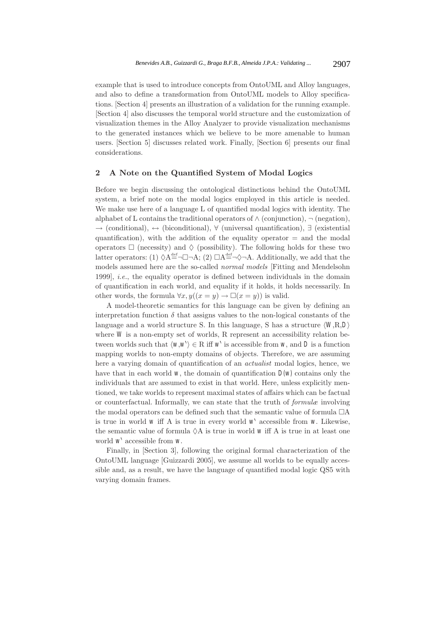example that is used to introduce concepts from OntoUML and Alloy languages, and also to define a transformation from OntoUML models to Alloy specifications. [Section 4] presents an illustration of a validation for the running example. [Section 4] also discusses the temporal world structure and the customization of visualization themes in the Alloy Analyzer to provide visualization mechanisms to the generated instances which we believe to be more amenable to human users. [Section 5] discusses related work. Finally, [Section 6] presents our final considerations.

## **2 A Note on the Quantified System of Modal Logics**

Before we begin discussing the ontological distinctions behind the OntoUML system, a brief note on the modal logics employed in this article is needed. We make use here of a language L of quantified modal logics with identity. The alphabet of L contains the traditional operators of  $\land$  (conjunction),  $\neg$  (negation), → (conditional), ↔ (biconditional), ∀ (universal quantification), ∃ (existential quantification), with the addition of the equality operator  $=$  and the modal operators  $\Box$  (necessity) and  $\Diamond$  (possibility). The following holds for these two latter operators: (1)  $\Diamond A^{\text{def}}_{=}\neg \Box \neg A$ ; (2)  $\Box A^{\text{def}}_{=}\neg \Diamond \neg A$ . Additionally, we add that the models assumed here are the so-called *normal models* [Fitting and Mendelsohn 1999], *i.e.*, the equality operator is defined between individuals in the domain of quantification in each world, and equality if it holds, it holds necessarily. In other words, the formula  $\forall x, y((x = y) \rightarrow \Box(x = y))$  is valid.

A model-theoretic semantics for this language can be given by defining an interpretation function  $\delta$  that assigns values to the non-logical constants of the language and a world structure S. In this language, S has a structure  $\langle W, R, D \rangle$ where  $W$  is a non-empty set of worlds,  $R$  represent an accessibility relation between worlds such that  $\langle w, w \rangle \in \mathbb{R}$  iff  $w'$  is accessible from *w*, and *D* is a function mapping worlds to non-empty domains of objects. Therefore, we are assuming here a varying domain of quantification of an *actualist* modal logics, hence, we have that in each world  $W$ , the domain of quantification  $D(W)$  contains only the individuals that are assumed to exist in that world. Here, unless explicitly mentioned, we take worlds to represent maximal states of affairs which can be factual or counterfactual. Informally, we can state that the truth of *formulæ* involving the modal operators can be defined such that the semantic value of formula  $\Box A$ is true in world  $w$  iff A is true in every world  $w<sup>1</sup>$  accessible from  $w$ . Likewise, the semantic value of formula  $\Diamond A$  is true in world *w* iff A is true in at least one world *w*- accessible from *w*.

Finally, in [Section 3], following the original formal characterization of the OntoUML language [Guizzardi 2005], we assume all worlds to be equally accessible and, as a result, we have the language of quantified modal logic QS5 with varying domain frames.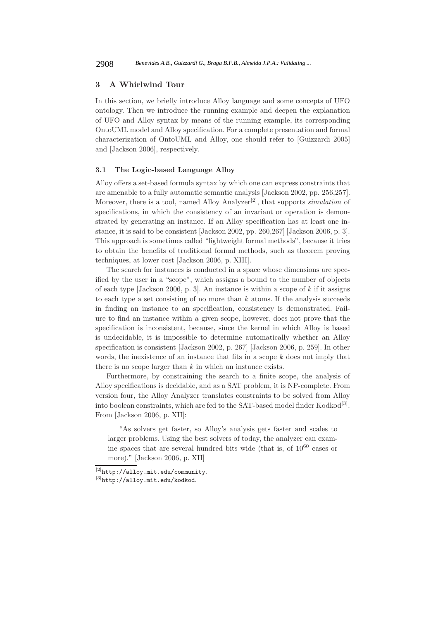## **3 A Whirlwind Tour**

In this section, we briefly introduce Alloy language and some concepts of UFO ontology. Then we introduce the running example and deepen the explanation of UFO and Alloy syntax by means of the running example, its corresponding OntoUML model and Alloy specification. For a complete presentation and formal characterization of OntoUML and Alloy, one should refer to [Guizzardi 2005] and [Jackson 2006], respectively.

## **3.1 The Logic-based Language Alloy**

Alloy offers a set-based formula syntax by which one can express constraints that are amenable to a fully automatic semantic analysis [Jackson 2002, pp. 256,257]. Moreover, there is a tool, named Alloy Analyzer[2], that supports *simulation* of specifications, in which the consistency of an invariant or operation is demonstrated by generating an instance. If an Alloy specification has at least one instance, it is said to be consistent [Jackson 2002, pp. 260,267] [Jackson 2006, p. 3]. This approach is sometimes called "lightweight formal methods", because it tries to obtain the benefits of traditional formal methods, such as theorem proving techniques, at lower cost [Jackson 2006, p. XIII].

The search for instances is conducted in a space whose dimensions are specified by the user in a "scope", which assigns a bound to the number of objects of each type [Jackson 2006, p. 3]. An instance is within a scope of *k* if it assigns to each type a set consisting of no more than *k* atoms. If the analysis succeeds in finding an instance to an specification, consistency is demonstrated. Failure to find an instance within a given scope, however, does not prove that the specification is inconsistent, because, since the kernel in which Alloy is based is undecidable, it is impossible to determine automatically whether an Alloy specification is consistent [Jackson 2002, p. 267] [Jackson 2006, p. 259]. In other words, the inexistence of an instance that fits in a scope *k* does not imply that there is no scope larger than *k* in which an instance exists.

Furthermore, by constraining the search to a finite scope, the analysis of Alloy specifications is decidable, and as a SAT problem, it is NP-complete. From version four, the Alloy Analyzer translates constraints to be solved from Alloy into boolean constraints, which are fed to the SAT-based model finder  $Kodkod^{[3]}$ . From [Jackson 2006, p. XII]:

"As solvers get faster, so Alloy's analysis gets faster and scales to larger problems. Using the best solvers of today, the analyzer can examine spaces that are several hundred bits wide (that is, of  $10^{60}$  cases or more)." [Jackson 2006, p. XII]

<sup>[2]</sup>http://alloy.mit.edu/community.

<sup>[3]</sup>http://alloy.mit.edu/kodkod.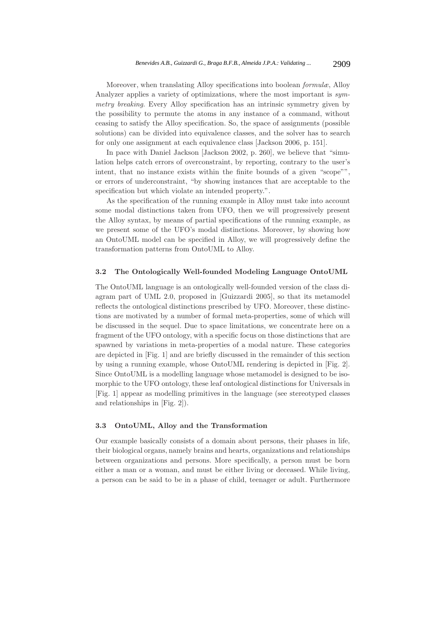Moreover, when translating Alloy specifications into boolean *formulæ*, Alloy Analyzer applies a variety of optimizations, where the most important is *symmetry breaking*. Every Alloy specification has an intrinsic symmetry given by the possibility to permute the atoms in any instance of a command, without ceasing to satisfy the Alloy specification. So, the space of assignments (possible solutions) can be divided into equivalence classes, and the solver has to search for only one assignment at each equivalence class [Jackson 2006, p. 151].

In pace with Daniel Jackson [Jackson 2002, p. 260], we believe that "simulation helps catch errors of overconstraint, by reporting, contrary to the user's intent, that no instance exists within the finite bounds of a given "scope"", or errors of underconstraint, "by showing instances that are acceptable to the specification but which violate an intended property.".

As the specification of the running example in Alloy must take into account some modal distinctions taken from UFO, then we will progressively present the Alloy syntax, by means of partial specifications of the running example, as we present some of the UFO's modal distinctions. Moreover, by showing how an OntoUML model can be specified in Alloy, we will progressively define the transformation patterns from OntoUML to Alloy.

#### **3.2 The Ontologically Well-founded Modeling Language OntoUML**

The OntoUML language is an ontologically well-founded version of the class diagram part of UML 2.0, proposed in [Guizzardi 2005], so that its metamodel reflects the ontological distinctions prescribed by UFO. Moreover, these distinctions are motivated by a number of formal meta-properties, some of which will be discussed in the sequel. Due to space limitations, we concentrate here on a fragment of the UFO ontology, with a specific focus on those distinctions that are spawned by variations in meta-properties of a modal nature. These categories are depicted in [Fig. 1] and are briefly discussed in the remainder of this section by using a running example, whose OntoUML rendering is depicted in [Fig. 2]. Since OntoUML is a modelling language whose metamodel is designed to be isomorphic to the UFO ontology, these leaf ontological distinctions for Universals in [Fig. 1] appear as modelling primitives in the language (see stereotyped classes and relationships in [Fig. 2]).

#### **3.3 OntoUML, Alloy and the Transformation**

Our example basically consists of a domain about persons, their phases in life, their biological organs, namely brains and hearts, organizations and relationships between organizations and persons. More specifically, a person must be born either a man or a woman, and must be either living or deceased. While living, a person can be said to be in a phase of child, teenager or adult. Furthermore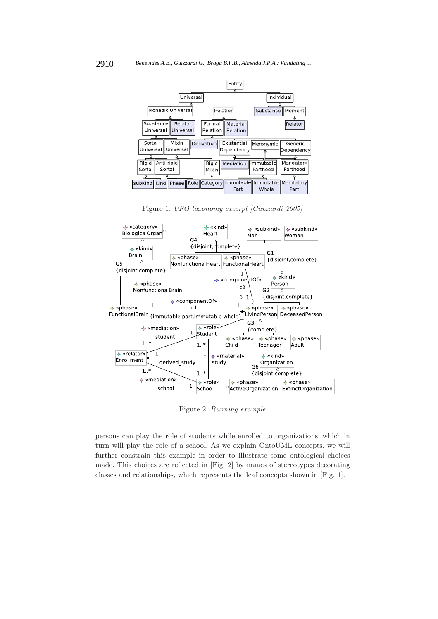

Figure 1: *UFO taxonomy excerpt [Guizzardi 2005]*



Figure 2: *Running example*

persons can play the role of students while enrolled to organizations, which in turn will play the role of a school. As we explain OntoUML concepts, we will further constrain this example in order to illustrate some ontological choices made. This choices are reflected in [Fig. 2] by names of stereotypes decorating classes and relationships, which represents the leaf concepts shown in [Fig. 1].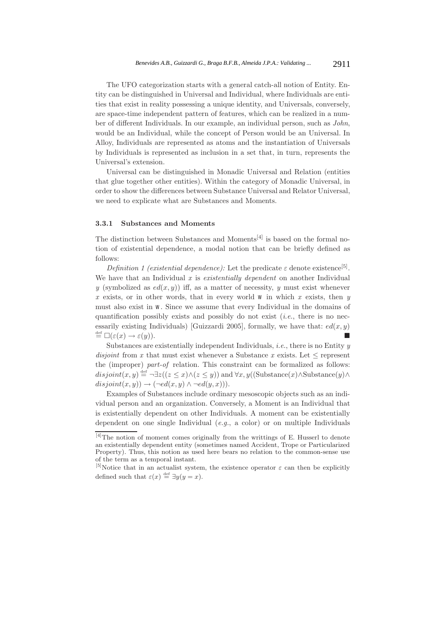The UFO categorization starts with a general catch-all notion of Entity. Entity can be distinguished in Universal and Individual, where Individuals are entities that exist in reality possessing a unique identity, and Universals, conversely, are space-time independent pattern of features, which can be realized in a number of different Individuals. In our example, an individual person, such as *John*, would be an Individual, while the concept of Person would be an Universal. In Alloy, Individuals are represented as atoms and the instantiation of Universals by Individuals is represented as inclusion in a set that, in turn, represents the Universal's extension.

Universal can be distinguished in Monadic Universal and Relation (entities that glue together other entities). Within the category of Monadic Universal, in order to show the differences between Substance Universal and Relator Universal, we need to explicate what are Substances and Moments.

## **3.3.1 Substances and Moments**

The distinction between Substances and Moments<sup>[4]</sup> is based on the formal notion of existential dependence, a modal notion that can be briefly defined as follows:

*Definition 1 (existential dependence):* Let the predicate  $\varepsilon$  denote existence<sup>[5]</sup>. We have that an Individual *x* is *existentially dependent* on another Individual *y* (symbolized as  $ed(x, y)$ ) iff, as a matter of necessity, *y* must exist whenever  $x$  exists, or in other words, that in every world  $w$  in which  $x$  exists, then  $y$ must also exist in *w*. Since we assume that every Individual in the domains of quantification possibly exists and possibly do not exist (*i.e.*, there is no necessarily existing Individuals) [Guizzardi 2005], formally, we have that:  $ed(x, y)$  $\stackrel{\text{def}}{=} \Box(\varepsilon(x) \to \varepsilon(y)).$ 

Substances are existentially independent Individuals, *i.e.*, there is no Entity *y disjoint* from *x* that must exist whenever a Substance *x* exists. Let  $\leq$  represent the (improper) *part-of* relation. This constraint can be formalized as follows:  $disjoint(x, y) \stackrel{\text{def}}{=} \neg \exists z ((z \leq x) \land (z \leq y))$  and  $\forall x, y ((\text{Substance}(x) \land \text{Substance}(y) \land \text{Substance}(y)))$  $disjoint(x, y) \rightarrow (\neg ed(x, y) \land \neg ed(y, x))).$ 

Examples of Substances include ordinary mesoscopic objects such as an individual person and an organization. Conversely, a Moment is an Individual that is existentially dependent on other Individuals. A moment can be existentially dependent on one single Individual (*e.g.*, a color) or on multiple Individuals

<sup>[4]</sup>The notion of moment comes originally from the writtings of E. Husserl to denote an existentially dependent entity (sometimes named Accident, Trope or Particularized Property). Thus, this notion as used here bears no relation to the common-sense use of the term as a temporal instant.

<sup>&</sup>lt;sup>[5]</sup>Notice that in an actualist system, the existence operator  $\varepsilon$  can then be explicitly defined such that  $\varepsilon(x) \stackrel{\text{def}}{=} \exists y(y=x)$ .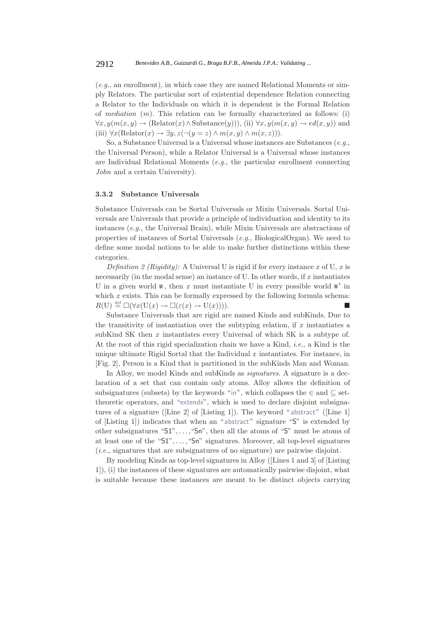(*e.g.*, an enrollment), in which case they are named Relational Moments or simply Relators. The particular sort of existential dependence Relation connecting a Relator to the Individuals on which it is dependent is the Formal Relation of *mediation* (*m*). This relation can be formally characterized as follows: (i)  $\forall x, y(m(x, y) \rightarrow (\text{Relative}(x) \land \text{Substance}(y))),$  (ii)  $\forall x, y(m(x, y) \rightarrow ed(x, y))$  and (iii)  $\forall x (\text{Relation}(x) \rightarrow \exists y, z (\neg (y = z) \land m(x, y) \land m(x, z))).$ 

So, a Substance Universal is a Universal whose instances are Substances (*e.g.*, the Universal Person), while a Relator Universal is a Universal whose instances are Individual Relational Moments (*e.g.*, the particular enrollment connecting *John* and a certain University).

#### **3.3.2 Substance Universals**

Substance Universals can be Sortal Universals or Mixin Universals. Sortal Universals are Universals that provide a principle of individuation and identity to its instances (*e.g.*, the Universal Brain), while Mixin Universals are abstractions of properties of instances of Sortal Universals (*e.g.*, BiologicalOrgan). We need to define some modal notions to be able to make further distinctions within these categories.

*Definition 2 (Rigidity):* A Universal U is rigid if for every instance *x* of U, *x* is necessarily (in the modal sense) an instance of U. In other words, if *x* instantiates U in a given world  $w$ , then  $x$  must instantiate U in every possible world  $w^{\lambda}$  in which *x* exists. This can be formally expressed by the following formula schema:  $R(U) \stackrel{\text{def}}{=} \Box(\forall x(\mathbf{U}(x) \to \Box(\varepsilon(x) \to \mathbf{U}(x))))$ .

Substance Universals that are rigid are named Kinds and subKinds. Due to the transitivity of instantiation over the subtyping relation, if *x* instantiates a subKind SK then *x* instantiates every Universal of which SK is a subtype of. At the root of this rigid specialization chain we have a Kind, *i.e.*, a Kind is the unique ultimate Rigid Sortal that the Individual *x* instantiates. For instance, in [Fig. 2], Person is a Kind that is partitioned in the subKinds Man and Woman.

In Alloy, we model Kinds and subKinds as *signatures*. A signature is a declaration of a set that can contain only atoms. Alloy allows the definition of subsignatures (subsets) by the keywords "in", which collapses the  $\in$  and  $\subseteq$  settheoretic operators, and "extends", which is used to declare disjoint subsignatures of a signature ([Line 2] of [Listing 1]). The keyword "abstract" ([Line 1] of [Listing 1]) indicates that when an "abstract" signature "S" is extended by other subsignatures " $S1$ ",..., " $Sn$ ", then all the atoms of " $S$ " must be atoms of at least one of the "S1",...,"Sn" signatures. Moreover, all top-level signatures (*i.e.*, signatures that are subsignatures of no signature) are pairwise disjoint.

By modeling Kinds as top-level signatures in Alloy ([Lines 1 and 3] of [Listing 1]), (i) the instances of these signatures are automatically pairwise disjoint, what is suitable because these instances are meant to be distinct objects carrying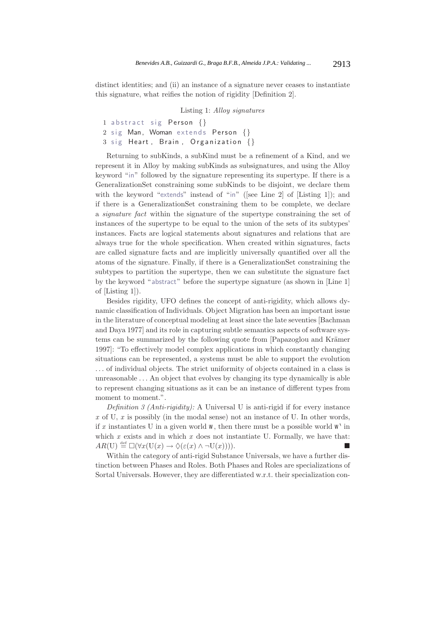distinct identities; and (ii) an instance of a signature never ceases to instantiate this signature, what reifies the notion of rigidity [Definition 2].

Listing 1: *Alloy signatures*

1 abstract sig Person {} 2 sig Man, Woman extends Person {} 3 sig Heart , Brain , Organization {}

Returning to subKinds, a subKind must be a refinement of a Kind, and we represent it in Alloy by making subKinds as subsignatures, and using the Alloy keyword "in" followed by the signature representing its supertype. If there is a GeneralizationSet constraining some subKinds to be disjoint, we declare them with the keyword "extends" instead of "in" ([see Line 2] of [Listing 1]); and if there is a GeneralizationSet constraining them to be complete, we declare a *signature fact* within the signature of the supertype constraining the set of instances of the supertype to be equal to the union of the sets of its subtypes' instances. Facts are logical statements about signatures and relations that are always true for the whole specification. When created within signatures, facts are called signature facts and are implicitly universally quantified over all the atoms of the signature. Finally, if there is a GeneralizationSet constraining the subtypes to partition the supertype, then we can substitute the signature fact by the keyword " abstract" before the supertype signature (as shown in [Line 1] of [Listing 1]).

Besides rigidity, UFO defines the concept of anti-rigidity, which allows dynamic classification of Individuals. Object Migration has been an important issue in the literature of conceptual modeling at least since the late seventies [Bachman and Daya 1977] and its role in capturing subtle semantics aspects of software systems can be summarized by the following quote from [Papazoglou and Krämer 1997]: "To effectively model complex applications in which constantly changing situations can be represented, a systems must be able to support the evolution ... of individual objects. The strict uniformity of objects contained in a class is unreasonable ... An object that evolves by changing its type dynamically is able to represent changing situations as it can be an instance of different types from moment to moment.".

*Definition 3 (Anti-rigidity):* A Universal U is anti-rigid if for every instance *x* of U, *x* is possibly (in the modal sense) not an instance of U. In other words, if x instantiates U in a given world  $w$ , then there must be a possible world  $w'$  in which  $x$  exists and in which  $x$  does not instantiate U. Formally, we have that:  $AR(U) \stackrel{\text{def}}{=} \Box(\forall x(\mathbf{U}(x) \to \Diamond(\varepsilon(x) \land \neg \mathbf{U}(x))))$ .

Within the category of anti-rigid Substance Universals, we have a further distinction between Phases and Roles. Both Phases and Roles are specializations of Sortal Universals. However, they are differentiated w.r.t. their specialization con-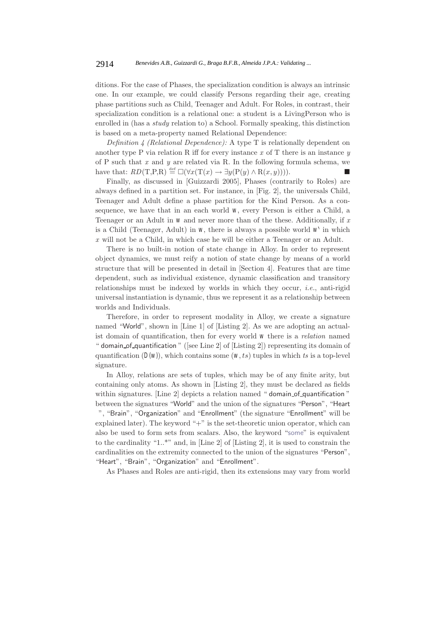ditions. For the case of Phases, the specialization condition is always an intrinsic one. In our example, we could classify Persons regarding their age, creating phase partitions such as Child, Teenager and Adult. For Roles, in contrast, their specialization condition is a relational one: a student is a LivingPerson who is enrolled in (has a *study* relation to) a School. Formally speaking, this distinction is based on a meta-property named Relational Dependence:

*Definition 4 (Relational Dependence):* A type T is relationally dependent on another type P via relation R iff for every instance *x* of T there is an instance *y* of P such that *x* and *y* are related via R. In the following formula schema, we have that:  $RD(\text{T}, P, R) \stackrel{\text{def}}{=} \Box(\forall x(\text{T}(x) \to \exists y(P(y) \land R(x, y))))$ .

Finally, as discussed in [Guizzardi 2005], Phases (contrarily to Roles) are always defined in a partition set. For instance, in [Fig. 2], the universals Child, Teenager and Adult define a phase partition for the Kind Person. As a consequence, we have that in an each world *w*, every Person is either a Child, a Teenager or an Adult in *w* and never more than of the these. Additionally, if *x* is a Child (Teenager, Adult) in  $w$ , there is always a possible world  $w^{\lambda}$  in which *x* will not be a Child, in which case he will be either a Teenager or an Adult.

There is no built-in notion of state change in Alloy. In order to represent object dynamics, we must reify a notion of state change by means of a world structure that will be presented in detail in [Section 4]. Features that are time dependent, such as individual existence, dynamic classification and transitory relationships must be indexed by worlds in which they occur, *i.e.*, anti-rigid universal instantiation is dynamic, thus we represent it as a relationship between worlds and Individuals.

Therefore, in order to represent modality in Alloy, we create a signature named "World", shown in [Line 1] of [Listing 2]. As we are adopting an actualist domain of quantification, then for every world *w* there is a *relation* named " domain of quantification " ([see Line 2] of [Listing 2]) representing its domain of quantification  $(D(W))$ , which contains some  $(W, ts)$  tuples in which ts is a top-level signature.

In Alloy, relations are sets of tuples, which may be of any finite arity, but containing only atoms. As shown in [Listing 2], they must be declared as fields within signatures. [Line 2] depicts a relation named "domain of quantification" between the signatures "World" and the union of the signatures "Person", "Heart ", "Brain", "Organization" and "Enrollment" (the signature "Enrollment" will be explained later). The keyword " $+$ " is the set-theoretic union operator, which can also be used to form sets from scalars. Also, the keyword "some" is equivalent to the cardinality "1..\*" and, in [Line 2] of [Listing 2], it is used to constrain the cardinalities on the extremity connected to the union of the signatures "Person", "Heart", "Brain", "Organization" and "Enrollment".

As Phases and Roles are anti-rigid, then its extensions may vary from world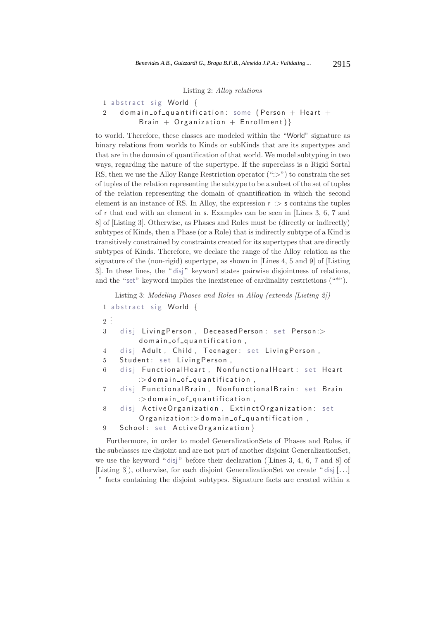#### Listing 2: *Alloy relations*

```
1 abstract sig World {
```

```
2 domain_of_quantification: some (Person + Heart +
        Brain + Organization + Enrollment}
```
to world. Therefore, these classes are modeled within the "World" signature as binary relations from worlds to Kinds or subKinds that are its supertypes and that are in the domain of quantification of that world. We model subtyping in two ways, regarding the nature of the supertype. If the superclass is a Rigid Sortal RS, then we use the Alloy Range Restriction operator  $(":>}")$  to constrain the set of tuples of the relation representing the subtype to be a subset of the set of tuples of the relation representing the domain of quantification in which the second element is an instance of RS. In Alloy, the expression  $r \geq s$  contains the tuples of r that end with an element in s. Examples can be seen in [Lines 3, 6, 7 and 8] of [Listing 3]. Otherwise, as Phases and Roles must be (directly or indirectly) subtypes of Kinds, then a Phase (or a Role) that is indirectly subtype of a Kind is transitively constrained by constraints created for its supertypes that are directly subtypes of Kinds. Therefore, we declare the range of the Alloy relation as the signature of the (non-rigid) supertype, as shown in [Lines 4, 5 and 9] of [Listing 3]. In these lines, the " disj " keyword states pairwise disjointness of relations, and the "set" keyword implies the inexistence of cardinality restrictions ("\*").

Listing 3: *Modeling Phases and Roles in Alloy (extends [Listing 2])*

1 abstract sig World {  $2\frac{1}{2}$ 3 disj LivingPerson , DeceasedPerson : set Person:> domain\_of\_quantification, 4 disj Adult , Child , Teenager: set LivingPerson , 5 Student: set LivingPerson , 6 disj FunctionalHeart , NonfunctionalHeart : set Heart  $\Rightarrow$  domain  $of$  quantification, 7 disj FunctionalBrain , NonfunctionalBrain: set Brain  $\Rightarrow$  domain  $of$  quantification, 8 disj ActiveOrganization , ExtinctOrganization: set  $Organization: > domain_of_quantification$ , 9 School: set ActiveOrganization }

Furthermore, in order to model GeneralizationSets of Phases and Roles, if the subclasses are disjoint and are not part of another disjoint GeneralizationSet, we use the keyword " disj" before their declaration (Lines 3, 4, 6, 7 and 8) of [Listing 3]), otherwise, for each disjoint GeneralizationSet we create " disj [...] " facts containing the disjoint subtypes. Signature facts are created within a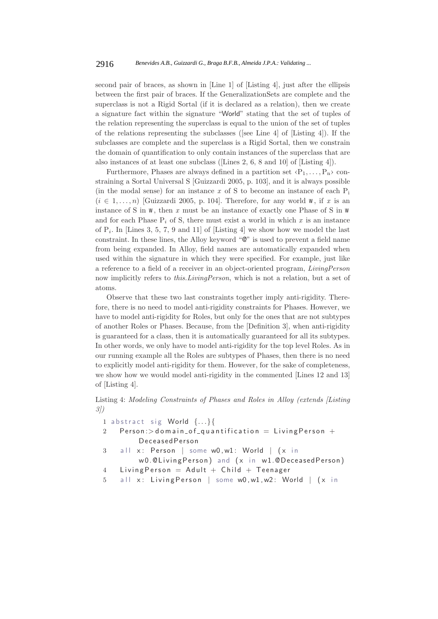second pair of braces, as shown in [Line 1] of [Listing 4], just after the ellipsis between the first pair of braces. If the GeneralizationSets are complete and the superclass is not a Rigid Sortal (if it is declared as a relation), then we create a signature fact within the signature "World" stating that the set of tuples of the relation representing the superclass is equal to the union of the set of tuples of the relations representing the subclasses ([see Line 4] of [Listing 4]). If the subclasses are complete and the superclass is a Rigid Sortal, then we constrain the domain of quantification to only contain instances of the superclass that are also instances of at least one subclass ([Lines 2, 6, 8 and 10] of [Listing 4]).

Furthermore, Phases are always defined in a partition set  $\langle P_1, \ldots, P_n \rangle$  constraining a Sortal Universal S [Guizzardi 2005, p. 103], and it is always possible (in the modal sense) for an instance  $x$  of S to become an instance of each  $P_i$  $(i \in 1, \ldots, n)$  [Guizzardi 2005, p. 104]. Therefore, for any world *w*, if *x* is an instance of S in *w*, then *x* must be an instance of exactly one Phase of S in *w* and for each Phase  $P_i$  of S, there must exist a world in which  $x$  is an instance of  $P_i$ . In [Lines 3, 5, 7, 9 and 11] of [Listing 4] we show how we model the last constraint. In these lines, the Alloy keyword "@" is used to prevent a field name from being expanded. In Alloy, field names are automatically expanded when used within the signature in which they were specified. For example, just like a reference to a field of a receiver in an object-oriented program, *LivingPerson* now implicitly refers to *this.LivingPerson*, which is not a relation, but a set of atoms.

Observe that these two last constraints together imply anti-rigidity. Therefore, there is no need to model anti-rigidity constraints for Phases. However, we have to model anti-rigidity for Roles, but only for the ones that are not subtypes of another Roles or Phases. Because, from the [Definition 3], when anti-rigidity is guaranteed for a class, then it is automatically guaranteed for all its subtypes. In other words, we only have to model anti-rigidity for the top level Roles. As in our running example all the Roles are subtypes of Phases, then there is no need to explicitly model anti-rigidity for them. However, for the sake of completeness, we show how we would model anti-rigidity in the commented [Lines 12 and 13] of [Listing 4].

Listing 4: *Modeling Constraints of Phases and Roles in Alloy (extends [Listing 3])*

1 abstract sig World {...}{

- 2 Person: > domain\_of\_quantification = Living Person + DeceasedPerson
- $3$  all x: Person | some w0, w1: World |  $(x \in \mathbb{R})$
- w0.@LivingPerson) and (x in w1.@DeceasedPerson) 4 Living Person = Adult + Child + Teenager
- 5 all x: Living Person | some w0, w1, w2: World | (x in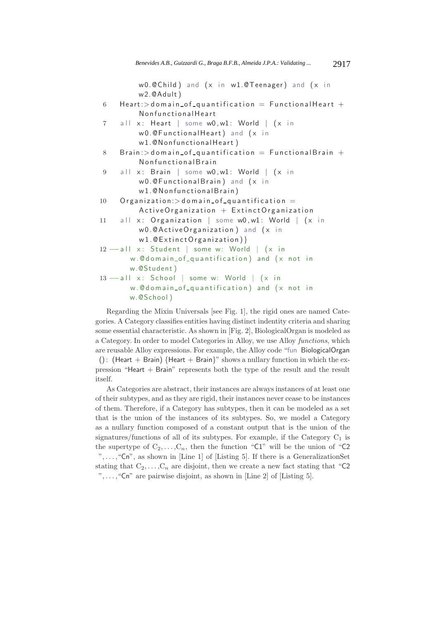```
w0.@Child) and (x \in w1.@Teenager) and (x \in w1.w2.@Adult )
6 Heart: > domain_of_quantification = FunctionalHeart +
         NonfunctionalHeart
7 all x: Heart | some w0, w1: World | (x \in \mathbb{R})w0.@FunctionalHeart) and (x \infty)w1.@NonfunctionalHeart )
8 Brain: > domain of quantification = Functional Brain +
         NonfunctionalBrain
9 all x: Brain | some w0, w1: World | (x \infty)w0.@FunctionalBrain) and (x in
         w1.@NonfunctionalBrain)
10 Organization: > domain of quantification =
         ActiveOrganization + ExtinctOrganization
11 all x: Organization | some w0, w1: World | (x \in \mathbb{R})w0.@ActiveOrganization ) and (x in
         w1.@ExtinctOrganization) }
12 −−all x: Student | some w: World | (x in
       w.@domain_of_quantification) and (x \text{ not in}w.@Student )
13 −−all x: School | some w: World | (x in
       w.@domain_of_quantification) and (x \text{ not in}w.@School )
```
Regarding the Mixin Universals [see Fig. 1], the rigid ones are named Categories. A Category classifies entities having distinct indentity criteria and sharing some essential characteristic. As shown in [Fig. 2], BiologicalOrgan is modeled as a Category. In order to model Categories in Alloy, we use Alloy *functions*, which are reusable Alloy expressions. For example, the Alloy code "fun BiologicalOrgan

(): (Heart + Brain) {Heart + Brain}" shows a nullary function in which the expression "Heart + Brain" represents both the type of the result and the result itself.

As Categories are abstract, their instances are always instances of at least one of their subtypes, and as they are rigid, their instances never cease to be instances of them. Therefore, if a Category has subtypes, then it can be modeled as a set that is the union of the instances of its subtypes. So, we model a Category as a nullary function composed of a constant output that is the union of the signatures/functions of all of its subtypes. For example, if the Category  $C_1$  is the supertype of  $C_2, \ldots, C_n$ , then the function "C1" will be the union of "C2" ",...,"Cn", as shown in [Line 1] of [Listing 5]. If there is a GeneralizationSet stating that  $C_2, \ldots, C_n$  are disjoint, then we create a new fact stating that "C2" ",...," $\mathsf{C} \mathsf{n}$ " are pairwise disjoint, as shown in [Line 2] of [Listing 5].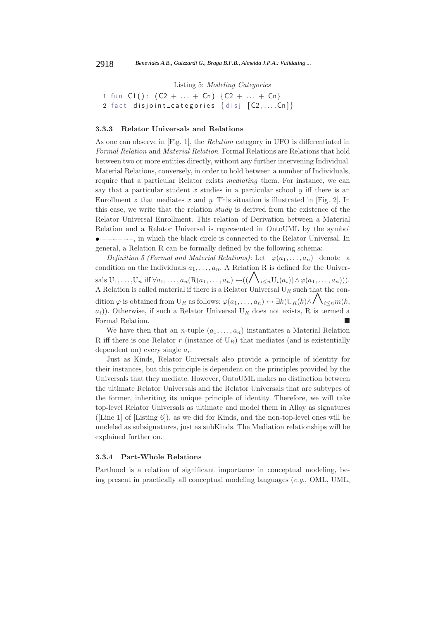Listing 5: *Modeling Categories*

1 fun  $C1()$ :  $(C2 + ... + Cn)$   $(C2 + ... + Cn)$ 2 fact disjoint categories  $\{$  disj  $[C2, \ldots, Cn]\}$ 

#### **3.3.3 Relator Universals and Relations**

As one can observe in [Fig. 1], the *Relation* category in UFO is differentiated in *Formal Relation* and *Material Relation*. Formal Relations are Relations that hold between two or more entities directly, without any further intervening Individual. Material Relations, conversely, in order to hold between a number of Individuals, require that a particular Relator exists *mediating* them. For instance, we can say that a particular student *x* studies in a particular school *y* iff there is an Enrollment *z* that mediates *x* and *y*. This situation is illustrated in [Fig. 2]. In this case, we write that the relation *study* is derived from the existence of the Relator Universal Enrollment. This relation of Derivation between a Material Relation and a Relator Universal is represented in OntoUML by the symbol  $\bullet$  -----, in which the black circle is connected to the Relator Universal. In general, a Relation R can be formally defined by the following schema:

*Definition 5 (Formal and Material Relations):* Let  $\varphi(a_1, \ldots, a_n)$  denote a condition on the Individuals  $a_1, \ldots, a_n$ . A Relation R is defined for the Universals  $U_1,\ldots,U_n$  iff  $\forall a_1,\ldots,a_n$  ( $R(a_1,\ldots,a_n) \leftrightarrow ((\bigwedge_{i\leq n} U_i(a_i)) \wedge \varphi(a_1,\ldots,a_n))).$ A Relation is called material if there is a Relator Universal  $U_R$  such that the condition  $\varphi$  is obtained from U<sub>R</sub> as follows:  $\varphi(a_1,\ldots,a_n) \leftrightarrow \exists k(\mathbf{U}_R(k)\wedge \bigwedge_{i\leq n} m(k,$  $a_i$ )). Otherwise, if such a Relator Universal U<sub>R</sub> does not exists, R is termed a Formal Relation.

We have then that an *n*-tuple  $(a_1, \ldots, a_n)$  instantiates a Material Relation R iff there is one Relator  $r$  (instance of  $U_R$ ) that mediates (and is existentially dependent on) every single a*i*.

Just as Kinds, Relator Universals also provide a principle of identity for their instances, but this principle is dependent on the principles provided by the Universals that they mediate. However, OntoUML makes no distinction between the ultimate Relator Universals and the Relator Universals that are subtypes of the former, inheriting its unique principle of identity. Therefore, we will take top-level Relator Universals as ultimate and model them in Alloy as signatures ([Line 1] of [Listing 6]), as we did for Kinds, and the non-top-level ones will be modeled as subsignatures, just as subKinds. The Mediation relationships will be explained further on.

## **3.3.4 Part-Whole Relations**

Parthood is a relation of significant importance in conceptual modeling, being present in practically all conceptual modeling languages (*e.g.*, OML, UML,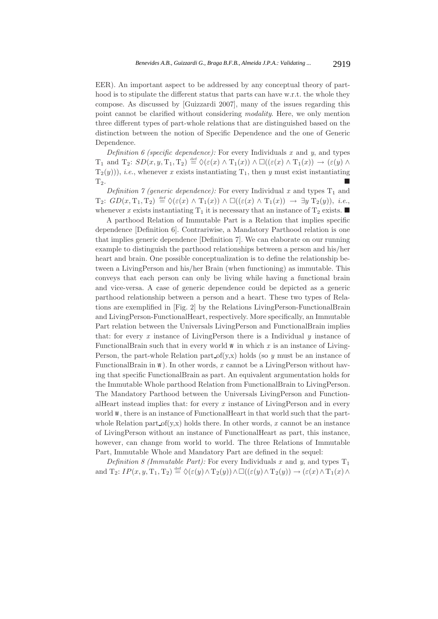EER). An important aspect to be addressed by any conceptual theory of parthood is to stipulate the different status that parts can have w.r.t. the whole they compose. As discussed by [Guizzardi 2007], many of the issues regarding this point cannot be clarified without considering *modality*. Here, we only mention three different types of part-whole relations that are distinguished based on the distinction between the notion of Specific Dependence and the one of Generic Dependence.

*Definition 6 (specific dependence):* For every Individuals *x* and *y*, and types T<sub>1</sub> and T<sub>2</sub>:  $SD(x, y, T_1, T_2) \stackrel{\text{def}}{=} \Diamond(\varepsilon(x) \land T_1(x)) \land \Box((\varepsilon(x) \land T_1(x)) \rightarrow (\varepsilon(y) \land T_2(x)))$  $T_2(y)$ ), *i.e.*, whenever *x* exists instantiating  $T_1$ , then *y* must exist instantiating  $T_2$ .

*Definition 7 (generic dependence):* For every Individual *x* and types  $T_1$  and  $T_2$ :  $GD(x, T_1, T_2) \stackrel{\text{def}}{=} \Diamond(\varepsilon(x) \land T_1(x)) \land \Box((\varepsilon(x) \land T_1(x)) \rightarrow \exists y \; T_2(y)), \; i.e.,$ whenever *x* exists instantiating  $T_1$  it is necessary that an instance of  $T_2$  exists.

A parthood Relation of Immutable Part is a Relation that implies specific dependence [Definition 6]. Contrariwise, a Mandatory Parthood relation is one that implies generic dependence [Definition 7]. We can elaborate on our running example to distinguish the parthood relationships between a person and his/her heart and brain. One possible conceptualization is to define the relationship between a LivingPerson and his/her Brain (when functioning) as immutable. This conveys that each person can only be living while having a functional brain and vice-versa. A case of generic dependence could be depicted as a generic parthood relationship between a person and a heart. These two types of Relations are exemplified in [Fig. 2] by the Relations LivingPerson-FunctionalBrain and LivingPerson-FunctionalHeart, respectively. More specifically, an Immutable Part relation between the Universals LivingPerson and FunctionalBrain implies that: for every *x* instance of LivingPerson there is a Individual *y* instance of FunctionalBrain such that in every world *w* in which *x* is an instance of Living-Person, the part-whole Relation part of(y,x) holds (so *y* must be an instance of FunctionalBrain in *w*). In other words, *x* cannot be a LivingPerson without having that specific FunctionalBrain as part. An equivalent argumentation holds for the Immutable Whole parthood Relation from FunctionalBrain to LivingPerson. The Mandatory Parthood between the Universals LivingPerson and FunctionalHeart instead implies that: for every *x* instance of LivingPerson and in every world *w*, there is an instance of FunctionalHeart in that world such that the partwhole Relation part of  $(y,x)$  holds there. In other words, x cannot be an instance of LivingPerson without an instance of FunctionalHeart as part, this instance, however, can change from world to world. The three Relations of Immutable Part, Immutable Whole and Mandatory Part are defined in the sequel:

*Definition 8 (Immutable Part):* For every Individuals x and y, and types  $T_1$ and  $T_2$ :  $IP(x, y, T_1, T_2) \stackrel{\text{def}}{=} \Diamond(\varepsilon(y) \land T_2(y)) \land \Box((\varepsilon(y) \land T_2(y)) \rightarrow (\varepsilon(x) \land T_1(x) \land T_2(y)))$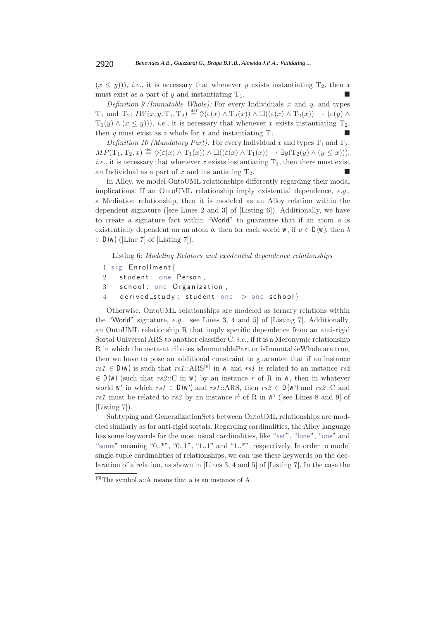$(x \leq y)$ , *i.e.*, it is necessary that whenever *y* exists instantiating  $T_2$ , then *x* must exist as a part of  $y$  and instantiating  $T_1$ .

*Definition 9 (Immutable Whole):* For every Individuals *x* and *y*, and types T<sub>1</sub> and T<sub>2</sub>:  $IW(x, y, T_1, T_2) \stackrel{\text{def}}{=} \Diamond(\varepsilon(x) \land T_2(x)) \land \Box((\varepsilon(x) \land T_2(x)) \rightarrow (\varepsilon(y) \land T_1(x)))$  $T_1(y) \wedge (x \le y)$ , *i.e.*, it is necessary that whenever *x* exists instantiating  $T_2$ , then *y* must exist as a whole for *x* and instantiating  $T_1$ .

*Definition 10 (Mandatory Part):* For every Individual *x* and types  $T_1$  and  $T_2$ :  $MP(\mathrm{T}_1, \mathrm{T}_2, x) \stackrel{\text{def}}{=} \Diamond(\varepsilon(x) \land \mathrm{T}_1(x)) \land \Box((\varepsilon(x) \land \mathrm{T}_1(x)) \rightarrow \exists y(\mathrm{T}_2(y) \land (y \leq x))),$ *i.e.*, it is necessary that whenever *x* exists instantiating  $T_1$ , then there must exist an Individual as a part of  $x$  and instantiating  $T_2$ .

In Alloy, we model OntoUML relationships differently regarding their modal implications. If an OntoUML relationship imply existential dependence, *e.g.*, a Mediation relationship, then it is modeled as an Alloy relation within the dependent signature ([see Lines 2 and 3] of [Listing 6]). Additionally, we have to create a signature fact within "World" to guarantee that if an atom *a* is existentially dependent on an atom *b*, then for each world *w*, if  $a \in D(w)$ , then *b*  $\in D(w)$  ([Line 7] of [Listing 7]).

Listing 6: *Modeling Relators and existential dependence relationships*

- 1 sig Enrollment {
- 2 student: one Person,
- 3 school: one Organization,
- 4 derived study : student one −> one school }

Otherwise, OntoUML relationships are modeled as ternary relations within the "World" signature, *e.g.*, [see Lines 3, 4 and 5] of [Listing 7]. Additionally, an OntoUML relationship R that imply specific dependence from an anti-rigid Sortal Universal ARS to another classifier C, *i.e.*, if it is a Meronymic relationship R in which the meta-attributes isImmutablePart or isImmutableWhole are true, then we have to pose an additional constraint to guarantee that if an instance  $rs1 \in D(w)$  is such that  $rs1$ :: $ARS^{[6]}$  in *w* and *rs1* is related to an instance  $rs2$  $\in D(w)$  (such that *rs2*::C in *w*) by an instance *r* of R in *w*, then in whatever world *w*<sup> $\cdot$ </sup> in which *rs1*  $\in$  *D(w* $\cdot$ ) and *rs1*::ARS, then *rs2*  $\in$  *D(w* $\cdot$ ) and *rs2*::C and  $rs1$  must be related to  $rs2$  by an instance r' of R in  $w'$  ([see Lines 8 and 9] of [Listing 7]).

Subtyping and GeneralizationSets between OntoUML relationships are modeled similarly as for anti-rigid sortals. Regarding cardinalities, the Alloy language has some keywords for the most usual cardinalities, like "set", "lone", "one" and "some" meaning "0..\*", "0..1", "1..1" and "1..\*", respectively. In order to model single-tuple cardinalities of relationships, we can use these keywords on the declaration of a relation, as shown in [Lines 3, 4 and 5] of [Listing 7]. In the case the

 $[6]$ The symbol a::A means that a is an instance of A.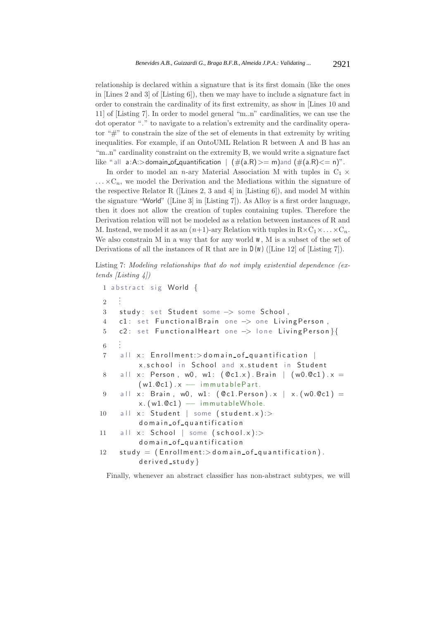relationship is declared within a signature that is its first domain (like the ones in [Lines 2 and 3] of [Listing 6]), then we may have to include a signature fact in order to constrain the cardinality of its first extremity, as show in [Lines 10 and 11] of [Listing 7]. In order to model general "m..n" cardinalities, we can use the dot operator "." to navigate to a relation's extremity and the cardinality operator "#" to constrain the size of the set of elements in that extremity by writing inequalities. For example, if an OntoUML Relation R between A and B has an "m..n" cardinality constraint on the extremity B, we would write a signature fact like " all  $a:A$ : > domain of quantification  $| (\#(a.R) >= m)$  and  $( \#(a.R) <= n)$ ".

In order to model an *n*-ary Material Association M with tuples in  $C_1 \times$  $\ldots \times C_n$ , we model the Derivation and the Mediations within the signature of the respective Relator R ([Lines 2, 3 and 4] in [Listing 6]), and model M within the signature "World" ([Line 3] in [Listing 7]). As Alloy is a first order language, then it does not allow the creation of tuples containing tuples. Therefore the Derivation relation will not be modeled as a relation between instances of R and M. Instead, we model it as an  $(n+1)$ -ary Relation with tuples in  $R \times C_1 \times \ldots \times C_n$ . We also constrain M in a way that for any world *w*, M is a subset of the set of Derivations of all the instances of R that are in *D(w)* ([Line 12] of [Listing 7]).

Listing 7: *Modeling relationships that do not imply existential dependence (extends [Listing 4])*

```
1 abstract sig World {
\overline{2}.
    .
3 study: set Student some −> some School ,
4 c1: set FunctionalBrain one -> one LivingPerson,
5 c2 : set FunctionalHeart one −> lone LivingPerson }{
6 .
    .
    .
7 all x: Enrollment: > domain_of_quantification |
         x.school in School and x.student in Student
8 all x: Person, w0, w1: (Qc1.x). Brain | (w0.Qc1) . x =(w1.@c1). x -- immutablePart.
9 all x: Brain, w0, w1: (Qc1.Person).x \mid x.(w0.Qc1) =x. (w1.@c1) - immutableWhole.
10 all x: Student | some (student.x):>
         domain of quantification
11 all x: School | some (school.x):>
         domain of quantification
12 study = (Enrollment)> domain_of_quantification).
         derived\_study}
```
Finally, whenever an abstract classifier has non-abstract subtypes, we will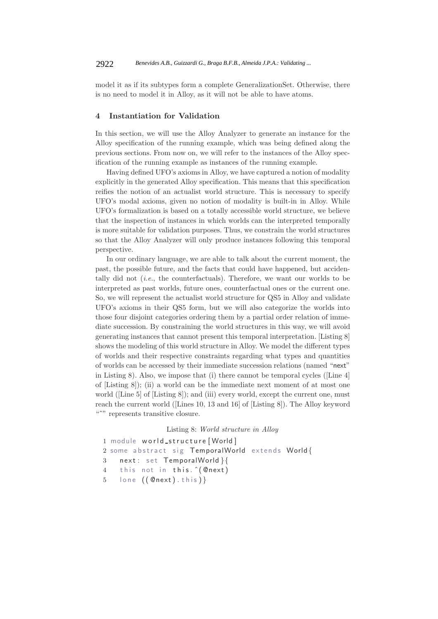model it as if its subtypes form a complete GeneralizationSet. Otherwise, there is no need to model it in Alloy, as it will not be able to have atoms.

## **4 Instantiation for Validation**

In this section, we will use the Alloy Analyzer to generate an instance for the Alloy specification of the running example, which was being defined along the previous sections. From now on, we will refer to the instances of the Alloy specification of the running example as instances of the running example.

Having defined UFO's axioms in Alloy, we have captured a notion of modality explicitly in the generated Alloy specification. This means that this specification reifies the notion of an actualist world structure. This is necessary to specify UFO's modal axioms, given no notion of modality is built-in in Alloy. While UFO's formalization is based on a totally accessible world structure, we believe that the inspection of instances in which worlds can the interpreted temporally is more suitable for validation purposes. Thus, we constrain the world structures so that the Alloy Analyzer will only produce instances following this temporal perspective.

In our ordinary language, we are able to talk about the current moment, the past, the possible future, and the facts that could have happened, but accidentally did not (*i.e.*, the counterfactuals). Therefore, we want our worlds to be interpreted as past worlds, future ones, counterfactual ones or the current one. So, we will represent the actualist world structure for QS5 in Alloy and validate UFO's axioms in their QS5 form, but we will also categorize the worlds into those four disjoint categories ordering them by a partial order relation of immediate succession. By constraining the world structures in this way, we will avoid generating instances that cannot present this temporal interpretation. [Listing 8] shows the modeling of this world structure in Alloy. We model the different types of worlds and their respective constraints regarding what types and quantities of worlds can be accessed by their immediate succession relations (named "next" in Listing 8). Also, we impose that (i) there cannot be temporal cycles ([Line 4] of [Listing 8]); (ii) a world can be the immediate next moment of at most one world ([Line 5] of [Listing 8]); and (iii) every world, except the current one, must reach the current world ([Lines 10, 13 and 16] of [Listing 8]). The Alloy keyword "<sup>\*\*</sup>" represents transitive closure.

# Listing 8: *World structure in Alloy*

```
1 module world_structure [World]
2 some abstract sig TemporalWorld extends World {
3 next: set TemporalWorld }{
4 this not in this. ^(@next)
5 lone (( @next) . this ) }
```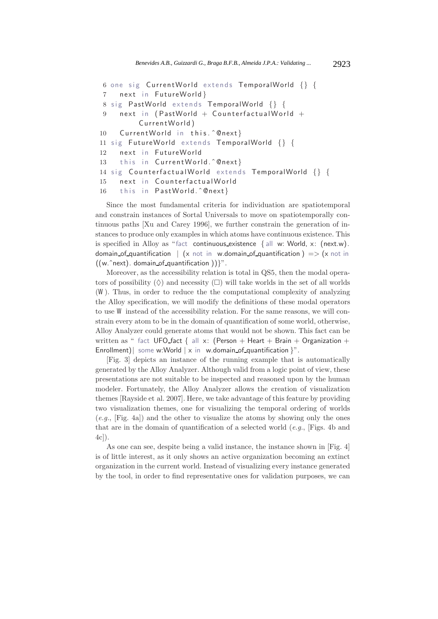```
6 one sig CurrentWorld extends TemporalWorld {} {
7 next in FutureWorld }
8 sig PastWorld extends TemporalWorld {} {
9 next in (PastWorld + CounterfactualWorld +
         CurrentWorld)
10 CurrentWorld in this. ^@next}
11 sig FutureWorld extends TemporalWorld {} {
12 next in FutureWorld
13 this in CurrentWorld. ^@next}
14 sig CounterfactualWorld extends TemporalWorld {} {
15 next in CounterfactualWorld
16 this in PastWorld.ˆ@next}
```
Since the most fundamental criteria for individuation are spatiotemporal and constrain instances of Sortal Universals to move on spatiotemporally continuous paths [Xu and Carey 1996], we further constrain the generation of instances to produce only examples in which atoms have continuous existence. This is specified in Alloy as "fact continuous existence  $\{$  all w: World, x: (next.w). domain of quantification  $|(x|)$  not in w.domain of quantification  $)$  => (x not in  $((w.\n\hat{r})$ . domain of quantification  $))$ ".

Moreover, as the accessibility relation is total in QS5, then the modal operators of possibility  $(\Diamond)$  and necessity  $(\Box)$  will take worlds in the set of all worlds (*W*). Thus, in order to reduce the the computational complexity of analyzing the Alloy specification, we will modify the definitions of these modal operators to use *W* instead of the accessibility relation. For the same reasons, we will constrain every atom to be in the domain of quantification of some world, otherwise, Alloy Analyzer could generate atoms that would not be shown. This fact can be written as " fact UFO\_fact { all x: (Person + Heart + Brain + Organization + Enrollment) some w:World  $\vert x \vert$  in w.domain of quantification  $\vert y \vert$ .

[Fig. 3] depicts an instance of the running example that is automatically generated by the Alloy Analyzer. Although valid from a logic point of view, these presentations are not suitable to be inspected and reasoned upon by the human modeler. Fortunately, the Alloy Analyzer allows the creation of visualization themes [Rayside et al. 2007]. Here, we take advantage of this feature by providing two visualization themes, one for visualizing the temporal ordering of worlds (*e.g.*, [Fig. 4a]) and the other to visualize the atoms by showing only the ones that are in the domain of quantification of a selected world (*e.g.*, [Figs. 4b and 4c]).

As one can see, despite being a valid instance, the instance shown in [Fig. 4] is of little interest, as it only shows an active organization becoming an extinct organization in the current world. Instead of visualizing every instance generated by the tool, in order to find representative ones for validation purposes, we can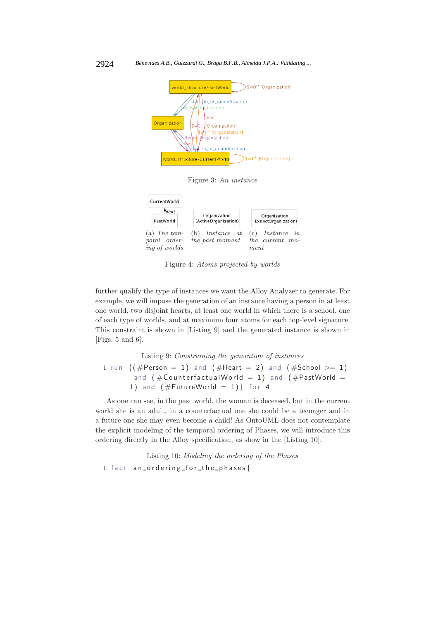

Figure 3: *An instance*



Figure 4: *Atoms projected by worlds*

further qualify the type of instances we want the Alloy Analyzer to generate. For example, we will impose the generation of an instance having a person in at least one world, two disjoint hearts, at least one world in which there is a school, one of each type of worlds, and at maximum four atoms for each top-level signature. This constraint is shown in [Listing 9] and the generated instance is shown in [Figs. 5 and 6].

Listing 9: *Constraining the generation of instances*

1 run  $\{(\# Person = 1)$  and  $(\# Heart = 2)$  and  $(\# School >= 1)$ and  $($  #CounterfactualWorld = 1) and  $($  #PastWorld = 1) and  $(\#FutureWorld = 1)$ } for 4

As one can see, in the past world, the woman is deceased, but in the current world she is an adult, in a counterfactual one she could be a teenager and in a future one she may even become a child! As OntoUML does not contemplate the explicit modeling of the temporal ordering of Phases, we will introduce this ordering directly in the Alloy specification, as show in the [Listing 10].

Listing 10: *Modeling the ordering of the Phases* 1 fact an ordering for the phases {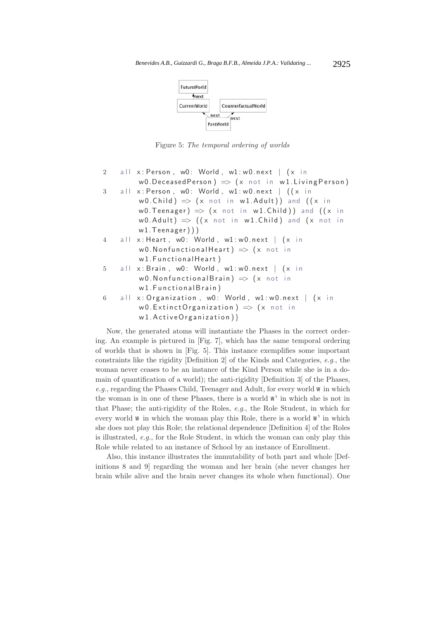

Figure 5: *The temporal ordering of worlds*

| $\overline{2}$ | all $x: Person$ , w0: World, w1:w0.next   $(x in$               |
|----------------|-----------------------------------------------------------------|
|                | w0. Deceased Person) $\Rightarrow$ (x not in w1. Living Person) |
| 3              | all $x: Person$ , w0: World, w1:w0.next $($ $(x in$             |
|                | w0.Child) $\Rightarrow$ (x not in w1.Adult)) and ((x in         |
|                | w0. Teenager) $\Rightarrow$ (x not in w1. Child)) and ((x in    |
|                | w0.Adult) $\Rightarrow$ ((x not in w1.Child) and (x not in      |
|                | w1.Teenager))                                                   |
|                | 4 all x: Heart, w0: World, w1: w0.next   (x in                  |
|                | w0. Nonfunctional Heart) $\Rightarrow$ (x not in                |
|                | w1. Functional Heart)                                           |
|                | 5 all x: Brain, w0: World, w1: w0.next   (x in                  |
|                | w0. Nonfunctional Brain) $\Rightarrow$ (x not in                |
|                | w1. Functional Brain)                                           |
|                | 6 all x: Organization, w0: World, w1: w0.next   (x in           |
|                | w0.ExtinctOrganization) $\Rightarrow$ (x not in                 |
|                | $w1$ . Active Organization) }                                   |
|                |                                                                 |

Now, the generated atoms will instantiate the Phases in the correct ordering. An example is pictured in [Fig. 7], which has the same temporal ordering of worlds that is shown in [Fig. 5]. This instance exemplifies some important constraints like the rigidity [Definition 2] of the Kinds and Categories, *e.g.*, the woman never ceases to be an instance of the Kind Person while she is in a domain of quantification of a world); the anti-rigidity [Definition 3] of the Phases, *e.g.*, regarding the Phases Child, Teenager and Adult, for every world *w* in which the woman is in one of these Phases, there is a world  $w^{\lambda}$  in which she is not in that Phase; the anti-rigidity of the Roles, *e.g.*, the Role Student, in which for every world *w* in which the woman play this Role, there is a world  $w'$  in which she does not play this Role; the relational dependence [Definition 4] of the Roles is illustrated, *e.g.*, for the Role Student, in which the woman can only play this Role while related to an instance of School by an instance of Enrollment.

Also, this instance illustrates the immutability of both part and whole [Definitions 8 and 9] regarding the woman and her brain (she never changes her brain while alive and the brain never changes its whole when functional). One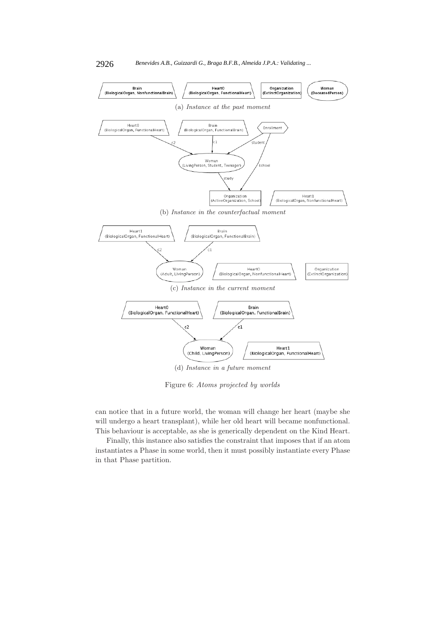

Figure 6: *Atoms projected by worlds*

can notice that in a future world, the woman will change her heart (maybe she will undergo a heart transplant), while her old heart will became nonfunctional. This behaviour is acceptable, as she is generically dependent on the Kind Heart.

Finally, this instance also satisfies the constraint that imposes that if an atom instantiates a Phase in some world, then it must possibly instantiate every Phase in that Phase partition.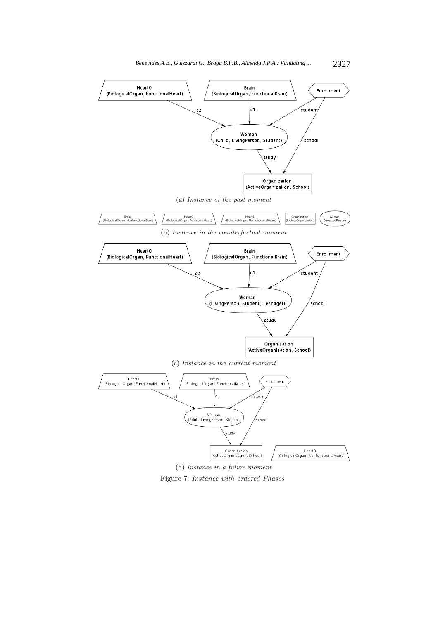



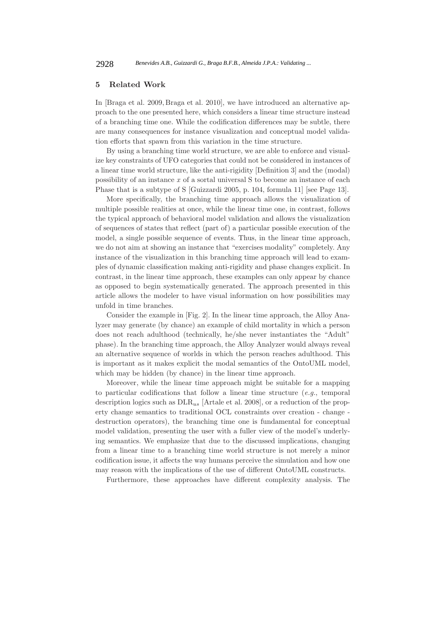## **5 Related Work**

In [Braga et al. 2009, Braga et al. 2010], we have introduced an alternative approach to the one presented here, which considers a linear time structure instead of a branching time one. While the codification differences may be subtle, there are many consequences for instance visualization and conceptual model validation efforts that spawn from this variation in the time structure.

By using a branching time world structure, we are able to enforce and visualize key constraints of UFO categories that could not be considered in instances of a linear time world structure, like the anti-rigidity [Definition 3] and the (modal) possibility of an instance *x* of a sortal universal S to become an instance of each Phase that is a subtype of S [Guizzardi 2005, p. 104, formula 11] [see Page 13].

More specifically, the branching time approach allows the visualization of multiple possible realities at once, while the linear time one, in contrast, follows the typical approach of behavioral model validation and allows the visualization of sequences of states that reflect (part of) a particular possible execution of the model, a single possible sequence of events. Thus, in the linear time approach, we do not aim at showing an instance that "exercises modality" completely. Any instance of the visualization in this branching time approach will lead to examples of dynamic classification making anti-rigidity and phase changes explicit. In contrast, in the linear time approach, these examples can only appear by chance as opposed to begin systematically generated. The approach presented in this article allows the modeler to have visual information on how possibilities may unfold in time branches.

Consider the example in [Fig. 2]. In the linear time approach, the Alloy Analyzer may generate (by chance) an example of child mortality in which a person does not reach adulthood (technically, he/she never instantiates the "Adult" phase). In the branching time approach, the Alloy Analyzer would always reveal an alternative sequence of worlds in which the person reaches adulthood. This is important as it makes explicit the modal semantics of the OntoUML model, which may be hidden (by chance) in the linear time approach.

Moreover, while the linear time approach might be suitable for a mapping to particular codifications that follow a linear time structure (*e.g.*, temporal description logics such as DLR*us* [Artale et al. 2008], or a reduction of the property change semantics to traditional OCL constraints over creation - change destruction operators), the branching time one is fundamental for conceptual model validation, presenting the user with a fuller view of the model's underlying semantics. We emphasize that due to the discussed implications, changing from a linear time to a branching time world structure is not merely a minor codification issue, it affects the way humans perceive the simulation and how one may reason with the implications of the use of different OntoUML constructs.

Furthermore, these approaches have different complexity analysis. The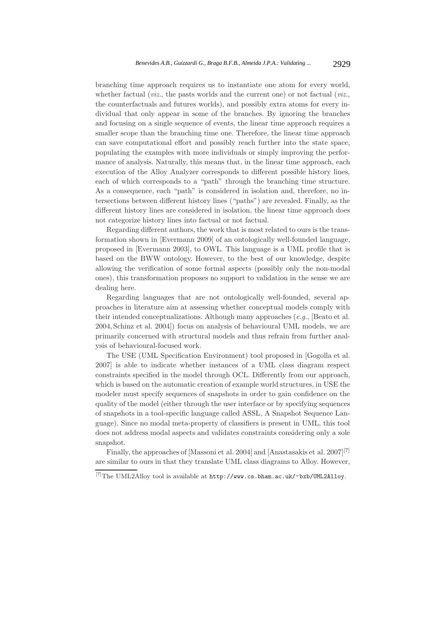branching time approach requires us to instantiate one atom for every world, whether factual (*viz.*, the pasts worlds and the current one) or not factual (*viz.*, the counterfactuals and futures worlds), and possibly extra atoms for every individual that only appear in some of the branches. By ignoring the branches and focusing on a single sequence of events, the linear time approach requires a smaller scope than the branching time one. Therefore, the linear time approach can save computational effort and possibly reach further into the state space, populating the examples with more individuals or simply improving the performance of analysis. Naturally, this means that, in the linear time approach, each execution of the Alloy Analyzer corresponds to different possible history lines, each of which corresponds to a "path" through the branching time structure. As a consequence, each "path" is considered in isolation and, therefore, no intersections between different history lines ("paths") are revealed. Finally, as the different history lines are considered in isolation, the linear time approach does not categorize history lines into factual or not factual.

Regarding different authors, the work that is most related to ours is the transformation shown in [Evermann 2009] of an ontologically well-founded language, proposed in [Evermann 2003], to OWL. This language is a UML profile that is based on the BWW ontology. However, to the best of our knowledge, despite allowing the verification of some formal aspects (possibly only the non-modal ones), this transformation proposes no support to validation in the sense we are dealing here.

Regarding languages that are not ontologically well-founded, several approaches in literature aim at assessing whether conceptual models comply with their intended conceptualizations. Although many approaches (*e.g.*, [Beato et al. 2004, Schinz et al. 2004]) focus on analysis of behavioural UML models, we are primarily concerned with structural models and thus refrain from further analysis of behavioural-focused work.

The USE (UML Specification Environment) tool proposed in [Gogolla et al. 2007] is able to indicate whether instances of a UML class diagram respect constraints specified in the model through OCL. Differently from our approach, which is based on the automatic creation of example world structures, in USE the modeler must specify sequences of snapshots in order to gain confidence on the quality of the model (either through the user interface or by specifying sequences of snapshots in a tool-specific language called ASSL, A Snapshot Sequence Language). Since no modal meta-property of classifiers is present in UML, this tool does not address modal aspects and validates constraints considering only a sole snapshot.

Finally, the approaches of [Massoni et al. 2004] and [Anastasakis et al. 2007][7] are similar to ours in that they translate UML class diagrams to Alloy. However,

 $^{[7]}{\rm The\; UML2Alloy\; tool}$  is available at  ${\tt http://www.cs.bham.ac.uk/~bxb/UML2Alloy}.$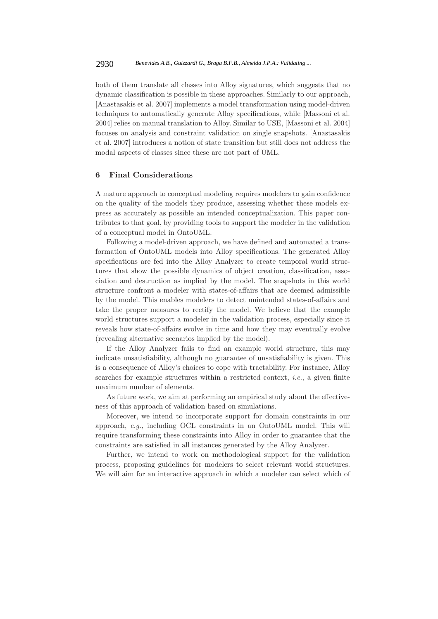both of them translate all classes into Alloy signatures, which suggests that no dynamic classification is possible in these approaches. Similarly to our approach, [Anastasakis et al. 2007] implements a model transformation using model-driven techniques to automatically generate Alloy specifications, while [Massoni et al. 2004] relies on manual translation to Alloy. Similar to USE, [Massoni et al. 2004] focuses on analysis and constraint validation on single snapshots. [Anastasakis et al. 2007] introduces a notion of state transition but still does not address the modal aspects of classes since these are not part of UML.

## **6 Final Considerations**

A mature approach to conceptual modeling requires modelers to gain confidence on the quality of the models they produce, assessing whether these models express as accurately as possible an intended conceptualization. This paper contributes to that goal, by providing tools to support the modeler in the validation of a conceptual model in OntoUML.

Following a model-driven approach, we have defined and automated a transformation of OntoUML models into Alloy specifications. The generated Alloy specifications are fed into the Alloy Analyzer to create temporal world structures that show the possible dynamics of object creation, classification, association and destruction as implied by the model. The snapshots in this world structure confront a modeler with states-of-affairs that are deemed admissible by the model. This enables modelers to detect unintended states-of-affairs and take the proper measures to rectify the model. We believe that the example world structures support a modeler in the validation process, especially since it reveals how state-of-affairs evolve in time and how they may eventually evolve (revealing alternative scenarios implied by the model).

If the Alloy Analyzer fails to find an example world structure, this may indicate unsatisfiability, although no guarantee of unsatisfiability is given. This is a consequence of Alloy's choices to cope with tractability. For instance, Alloy searches for example structures within a restricted context, *i.e.*, a given finite maximum number of elements.

As future work, we aim at performing an empirical study about the effectiveness of this approach of validation based on simulations.

Moreover, we intend to incorporate support for domain constraints in our approach, *e.g.*, including OCL constraints in an OntoUML model. This will require transforming these constraints into Alloy in order to guarantee that the constraints are satisfied in all instances generated by the Alloy Analyzer.

Further, we intend to work on methodological support for the validation process, proposing guidelines for modelers to select relevant world structures. We will aim for an interactive approach in which a modeler can select which of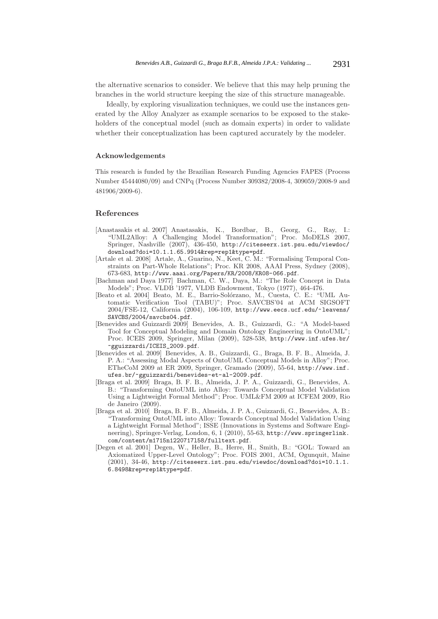the alternative scenarios to consider. We believe that this may help pruning the branches in the world structure keeping the size of this structure manageable.

Ideally, by exploring visualization techniques, we could use the instances generated by the Alloy Analyzer as example scenarios to be exposed to the stakeholders of the conceptual model (such as domain experts) in order to validate whether their conceptualization has been captured accurately by the modeler.

#### **Acknowledgements**

This research is funded by the Brazilian Research Funding Agencies FAPES (Process Number 45444080/09) and CNPq (Process Number 309382/2008-4, 309059/2008-9 and 481906/2009-6).

#### **References**

- [Anastasakis et al. 2007] Anastasakis, K., Bordbar, B., Georg, G., Ray, I.: "UML2Alloy: A Challenging Model Transformation"; Proc. MoDELS 2007, Springer, Nashville (2007), 436-450, http://citeseerx.ist.psu.edu/viewdoc/ download?doi=10.1.1.65.9914&rep=rep1&type=pdf.
- [Artale et al. 2008] Artale, A., Guarino, N., Keet, C. M.: "Formalising Temporal Constraints on Part-Whole Relations"; Proc. KR 2008, AAAI Press, Sydney (2008), 673-683, http://www.aaai.org/Papers/KR/2008/KR08-066.pdf.
- [Bachman and Daya 1977] Bachman, C. W., Daya, M.: "The Role Concept in Data Models"; Proc. VLDB '1977, VLDB Endowment, Tokyo (1977), 464-476.
- [Beato et al. 2004] Beato, M. E., Barrio-Sol´orzano, M., Cuesta, C. E.: "UML Automatic Verification Tool (TABU)"; Proc. SAVCBS'04 at ACM SIGSOFT 2004/FSE-12, California (2004), 106-109, http://www.eecs.ucf.edu/~leavens/ SAVCBS/2004/savcbs04.pdf.
- [Benevides and Guizzardi 2009] Benevides, A. B., Guizzardi, G.: "A Model-based Tool for Conceptual Modeling and Domain Ontology Engineering in OntoUML"; Proc. ICEIS 2009, Springer, Milan (2009), 528-538, http://www.inf.ufes.br/ ~gguizzardi/ICEIS\_2009.pdf.
- [Benevides et al. 2009] Benevides, A. B., Guizzardi, G., Braga, B. F. B., Almeida, J. P. A.: "Assessing Modal Aspects of OntoUML Conceptual Models in Alloy"; Proc. ETheCoM 2009 at ER 2009, Springer, Gramado (2009), 55-64, http://www.inf. ufes.br/~gguizzardi/benevides-et-al-2009.pdf.
- [Braga et al. 2009] Braga, B. F. B., Almeida, J. P. A., Guizzardi, G., Benevides, A. B.: "Transforming OntoUML into Alloy: Towards Conceptual Model Validation Using a Lightweight Formal Method"; Proc. UML&FM 2009 at ICFEM 2009, Rio de Janeiro (2009).
- [Braga et al. 2010] Braga, B. F. B., Almeida, J. P. A., Guizzardi, G., Benevides, A. B.: "Transforming OntoUML into Alloy: Towards Conceptual Model Validation Using a Lightweight Formal Method"; ISSE (Innovations in Systems and Software Engineering), Springer-Verlag, London, 6, 1 (2010), 55-63, http://www.springerlink. com/content/m1715n1220717l58/fulltext.pdf.
- [Degen et al. 2001] Degen, W., Heller, B., Herre, H., Smith, B.: "GOL: Toward an Axiomatized Upper-Level Ontology"; Proc. FOIS 2001, ACM, Ogunquit, Maine (2001), 34-46, http://citeseerx.ist.psu.edu/viewdoc/download?doi=10.1.1. 6.8498&rep=rep1&type=pdf.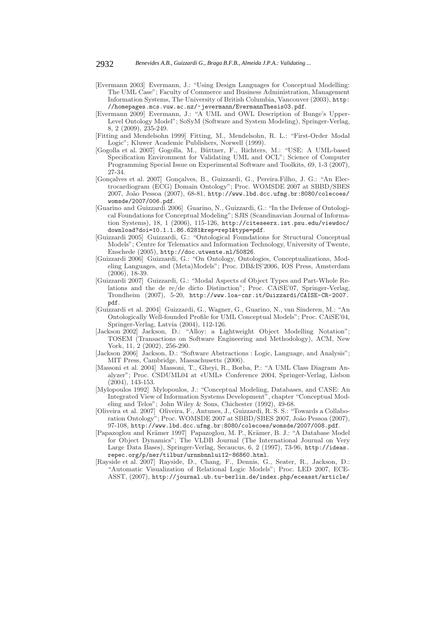- [Evermann 2003] Evermann, J.: "Using Design Languages for Conceptual Modelling: The UML Case"; Faculty of Commerce and Business Administration, Management Information Systems, The University of British Columbia, Vancouver (2003), http: //homepages.mcs.vuw.ac.nz/~jevermann/EvermannThesis03.pdf.
- [Evermann 2009] Evermann, J.: "A UML and OWL Description of Bunge's Upper-Level Ontology Model"; SoSyM (Software and System Modeling), Springer-Verlag, 8, 2 (2009), 235-249.
- [Fitting and Mendelsohn 1999] Fitting, M., Mendelsohn, R. L.: "First-Order Modal Logic"; Kluwer Academic Publishers, Norwell (1999).
- [Gogolla et al. 2007] Gogolla, M., B¨uttner, F., Richters, M.: "USE: A UML-based Specification Environment for Validating UML and OCL"; Science of Computer Programming Special Issue on Experimental Software and Toolkits, 69, 1-3 (2007), 27-34.
- [Gonçalves et al. 2007] Gonçalves, B., Guizzardi, G., Pereira.Filho, J. G.: "An Electrocardiogram (ECG) Domain Ontology"; Proc. WOMSDE 2007 at SBBD/SBES 2007, João Pessoa (2007), 68-81, http://www.lbd.dcc.ufmg.br:8080/colecoes/ womsde/2007/006.pdf.
- [Guarino and Guizzardi 2006] Guarino, N., Guizzardi, G.: "In the Defense of Ontological Foundations for Conceptual Modeling"; SJIS (Scandinavian Journal of Information Systems), 18, 1 (2006), 115-126, http://citeseerx.ist.psu.edu/viewdoc/ download?doi=10.1.1.86.6281&rep=rep1&type=pdf.
- [Guizzardi 2005] Guizzardi, G.: "Ontological Foundations for Structural Conceptual Models"; Centre for Telematics and Information Technology, University of Twente, Enschede (2005), http://doc.utwente.nl/50826.
- [Guizzardi 2006] Guizzardi, G.: "On Ontology, Ontologies, Conceptualizations, Modeling Languages, and (Meta)Models"; Proc. DB&IS'2006, IOS Press, Amsterdam (2006), 18-39.
- [Guizzardi 2007] Guizzardi, G.: "Modal Aspects of Object Types and Part-Whole Relations and the de re/de dicto Distinction"; Proc. CAiSE'07, Springer-Verlag, Trondheim (2007), 5-20, http://www.loa-cnr.it/Guizzardi/CAISE-CR-2007. pdf.
- [Guizzardi et al. 2004] Guizzardi, G., Wagner, G., Guarino, N., van Sinderen, M.: "An Ontologically Well-founded Profile for UML Conceptual Models"; Proc. CAiSE'04, Springer-Verlag, Latvia (2004), 112-126.
- [Jackson 2002] Jackson, D.: "Alloy: a Lightweight Object Modelling Notation"; TOSEM (Transactions on Software Engineering and Methodology), ACM, New York, 11, 2 (2002), 256-290.
- [Jackson 2006] Jackson, D.: "Software Abstractions : Logic, Language, and Analysis"; MIT Press, Cambridge, Massachusetts (2006).
- [Massoni et al. 2004] Massoni, T., Gheyi, R., Borba, P.: "A UML Class Diagram Analyzer"; Proc. CSDUML04 at «UML» Conference 2004, Springer-Verlag, Lisbon  $(2004)$ , 143-153.
- [Mylopoulos 1992] Mylopoulos, J.: "Conceptual Modeling, Databases, and CASE: An Integrated View of Information Systems Development", chapter "Conceptual Modeling and Telos"; John Wiley & Sons, Chichester (1992), 49-68.
- [Oliveira et al. 2007] Oliveira, F., Antunes, J., Guizzardi, R. S. S.: "Towards a Collaboration Ontology"; Proc. WOMSDE 2007 at SBBD/SBES 2007, João Pessoa (2007), 97-108, http://www.lbd.dcc.ufmg.br:8080/colecoes/womsde/2007/008.pdf.
- [Papazoglou and Krämer 1997] Papazoglou, M. P., Krämer, B. J.: "A Database Model for Object Dynamics"; The VLDB Journal (The International Journal on Very Large Data Bases), Springer-Verlag, Secaucus, 6, 2 (1997), 73-96, http://ideas. repec.org/p/ner/tilbur/urnnbnnlui12-86860.html.
- [Rayside et al. 2007] Rayside, D., Chang, F., Dennis, G., Seater, R., Jackson, D.: "Automatic Visualization of Relational Logic Models"; Proc. LED 2007, ECE-ASST, (2007), http://journal.ub.tu-berlin.de/index.php/eceasst/article/